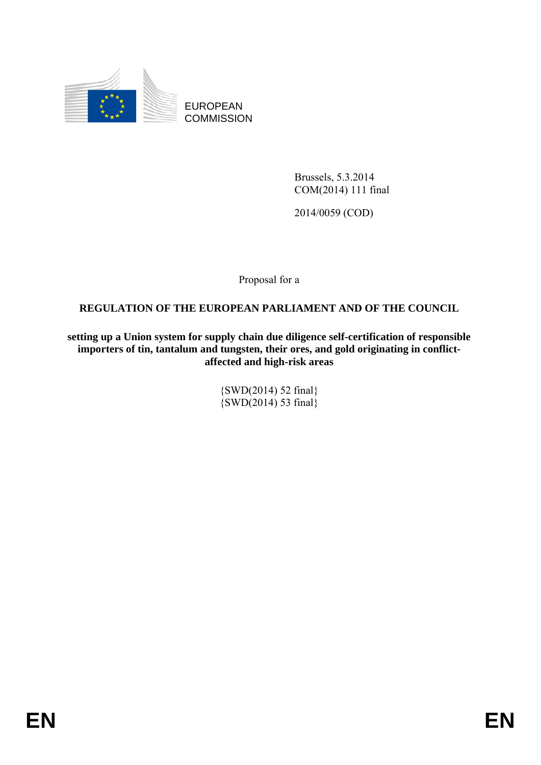

EUROPEAN **COMMISSION** 

> Brussels, 5.3.2014 COM(2014) 111 final

2014/0059 (COD)

Proposal for a

### **REGULATION OF THE EUROPEAN PARLIAMENT AND OF THE COUNCIL**

**setting up a Union system for supply chain due diligence self-certification of responsible importers of tin, tantalum and tungsten, their ores, and gold originating in conflictaffected and high-risk areas** 

> {SWD(2014) 52 final}  $\{SWD(2014) 53 \text{ final}\}$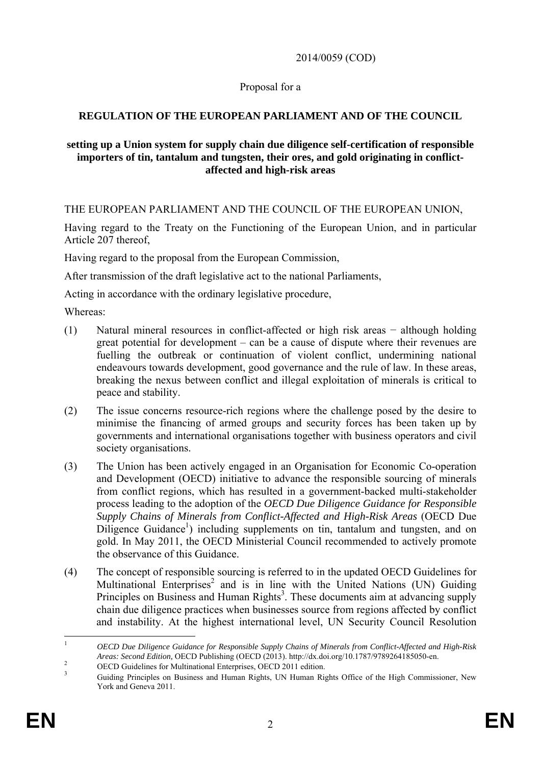2014/0059 (COD)

### Proposal for a

# **REGULATION OF THE EUROPEAN PARLIAMENT AND OF THE COUNCIL**

### **setting up a Union system for supply chain due diligence self-certification of responsible importers of tin, tantalum and tungsten, their ores, and gold originating in conflictaffected and high-risk areas**

THE EUROPEAN PARLIAMENT AND THE COUNCIL OF THE EUROPEAN UNION,

Having regard to the Treaty on the Functioning of the European Union, and in particular Article 207 thereof,

Having regard to the proposal from the European Commission,

After transmission of the draft legislative act to the national Parliaments,

Acting in accordance with the ordinary legislative procedure,

Whereas:

- (1) Natural mineral resources in conflict-affected or high risk areas − although holding great potential for development – can be a cause of dispute where their revenues are fuelling the outbreak or continuation of violent conflict, undermining national endeavours towards development, good governance and the rule of law. In these areas, breaking the nexus between conflict and illegal exploitation of minerals is critical to peace and stability.
- (2) The issue concerns resource-rich regions where the challenge posed by the desire to minimise the financing of armed groups and security forces has been taken up by governments and international organisations together with business operators and civil society organisations.
- (3) The Union has been actively engaged in an Organisation for Economic Co-operation and Development (OECD) initiative to advance the responsible sourcing of minerals from conflict regions, which has resulted in a government-backed multi-stakeholder process leading to the adoption of the *OECD Due Diligence Guidance for Responsible Supply Chains of Minerals from Conflict-Affected and High-Risk Areas* (OECD Due Diligence Guidance<sup>1</sup>) including supplements on tin, tantalum and tungsten, and on gold. In May 2011, the OECD Ministerial Council recommended to actively promote the observance of this Guidance.
- (4) The concept of responsible sourcing is referred to in the updated OECD Guidelines for Multinational Enterprises<sup>2</sup> and is in line with the United Nations (UN) Guiding Principles on Business and Human Rights<sup>3</sup>. These documents aim at advancing supply chain due diligence practices when businesses source from regions affected by conflict and instability. At the highest international level, UN Security Council Resolution

 $\mathbf{1}$ <sup>1</sup> *OECD Due Diligence Guidance for Responsible Supply Chains of Minerals from Conflict-Affected and High-Risk Areas: Second Edition,* OECD Publishing (OECD (2013). http://dx.doi.org/10.1787/9789264185050-en. <sup>2</sup>

 $\frac{2}{3}$  OECD Guidelines for Multinational Enterprises, OECD 2011 edition.

Guiding Principles on Business and Human Rights, UN Human Rights Office of the High Commissioner, New York and Geneva 2011.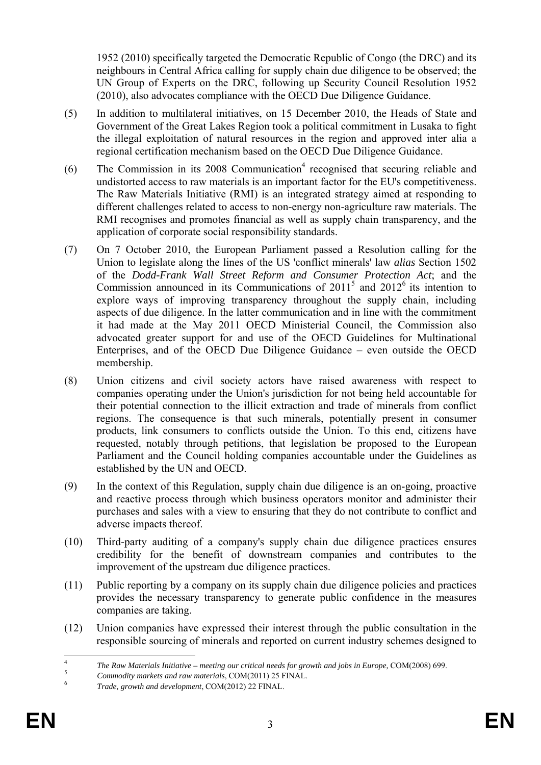1952 (2010) specifically targeted the Democratic Republic of Congo (the DRC) and its neighbours in Central Africa calling for supply chain due diligence to be observed; the UN Group of Experts on the DRC, following up Security Council Resolution 1952 (2010), also advocates compliance with the OECD Due Diligence Guidance.

- (5) In addition to multilateral initiatives, on 15 December 2010, the Heads of State and Government of the Great Lakes Region took a political commitment in Lusaka to fight the illegal exploitation of natural resources in the region and approved inter alia a regional certification mechanism based on the OECD Due Diligence Guidance.
- (6) The Commission in its  $2008$  Communication<sup>4</sup> recognised that securing reliable and undistorted access to raw materials is an important factor for the EU's competitiveness. The Raw Materials Initiative (RMI) is an integrated strategy aimed at responding to different challenges related to access to non-energy non-agriculture raw materials. The RMI recognises and promotes financial as well as supply chain transparency, and the application of corporate social responsibility standards.
- (7) On 7 October 2010, the European Parliament passed a Resolution calling for the Union to legislate along the lines of the US 'conflict minerals' law *alias* Section 1502 of the *Dodd-Frank Wall Street Reform and Consumer Protection Act*; and the Commission announced in its Communications of  $2011<sup>5</sup>$  and  $2012<sup>6</sup>$  its intention to explore ways of improving transparency throughout the supply chain, including aspects of due diligence. In the latter communication and in line with the commitment it had made at the May 2011 OECD Ministerial Council, the Commission also advocated greater support for and use of the OECD Guidelines for Multinational Enterprises, and of the OECD Due Diligence Guidance – even outside the OECD membership.
- (8) Union citizens and civil society actors have raised awareness with respect to companies operating under the Union's jurisdiction for not being held accountable for their potential connection to the illicit extraction and trade of minerals from conflict regions. The consequence is that such minerals, potentially present in consumer products, link consumers to conflicts outside the Union. To this end, citizens have requested, notably through petitions, that legislation be proposed to the European Parliament and the Council holding companies accountable under the Guidelines as established by the UN and OECD.
- (9) In the context of this Regulation, supply chain due diligence is an on-going, proactive and reactive process through which business operators monitor and administer their purchases and sales with a view to ensuring that they do not contribute to conflict and adverse impacts thereof.
- (10) Third-party auditing of a company's supply chain due diligence practices ensures credibility for the benefit of downstream companies and contributes to the improvement of the upstream due diligence practices.
- (11) Public reporting by a company on its supply chain due diligence policies and practices provides the necessary transparency to generate public confidence in the measures companies are taking.
- (12) Union companies have expressed their interest through the public consultation in the responsible sourcing of minerals and reported on current industry schemes designed to

 $\overline{4}$ <sup>4</sup><br>The Raw Materials Initiative – meeting our critical needs for growth and jobs in Europe, COM(2008) 699.<br>Commodity markets and raw materials, COM(2011) 25 FINAL.<br>Frade, growth and development, COM(2012) 22 FINAL.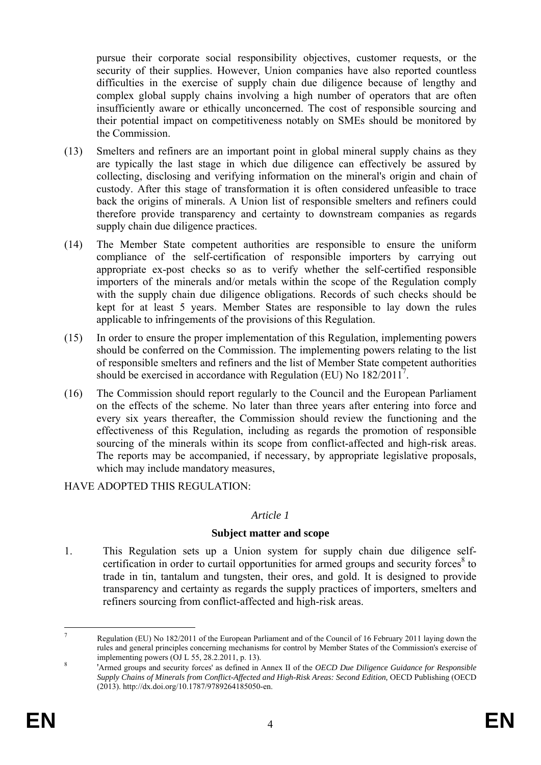pursue their corporate social responsibility objectives, customer requests, or the security of their supplies. However, Union companies have also reported countless difficulties in the exercise of supply chain due diligence because of lengthy and complex global supply chains involving a high number of operators that are often insufficiently aware or ethically unconcerned. The cost of responsible sourcing and their potential impact on competitiveness notably on SMEs should be monitored by the Commission.

- (13) Smelters and refiners are an important point in global mineral supply chains as they are typically the last stage in which due diligence can effectively be assured by collecting, disclosing and verifying information on the mineral's origin and chain of custody. After this stage of transformation it is often considered unfeasible to trace back the origins of minerals. A Union list of responsible smelters and refiners could therefore provide transparency and certainty to downstream companies as regards supply chain due diligence practices.
- (14) The Member State competent authorities are responsible to ensure the uniform compliance of the self-certification of responsible importers by carrying out appropriate ex-post checks so as to verify whether the self-certified responsible importers of the minerals and/or metals within the scope of the Regulation comply with the supply chain due diligence obligations. Records of such checks should be kept for at least 5 years. Member States are responsible to lay down the rules applicable to infringements of the provisions of this Regulation.
- (15) In order to ensure the proper implementation of this Regulation, implementing powers should be conferred on the Commission. The implementing powers relating to the list of responsible smelters and refiners and the list of Member State competent authorities should be exercised in accordance with Regulation (EU) No  $182/2011^7$ .
- (16) The Commission should report regularly to the Council and the European Parliament on the effects of the scheme. No later than three years after entering into force and every six years thereafter, the Commission should review the functioning and the effectiveness of this Regulation, including as regards the promotion of responsible sourcing of the minerals within its scope from conflict-affected and high-risk areas. The reports may be accompanied, if necessary, by appropriate legislative proposals, which may include mandatory measures,

### HAVE ADOPTED THIS REGULATION:

#### *Article 1*

### **Subject matter and scope**

1. This Regulation sets up a Union system for supply chain due diligence selfcertification in order to curtail opportunities for armed groups and security forces $8$  to trade in tin, tantalum and tungsten, their ores, and gold. It is designed to provide transparency and certainty as regards the supply practices of importers, smelters and refiners sourcing from conflict-affected and high-risk areas.

 $\overline{7}$ <sup>7</sup> Regulation (EU) No 182/2011 of the European Parliament and of the Council of 16 February 2011 laying down the rules and general principles concerning mechanisms for control by Member States of the Commission's exercise of implementing powers (OJ L 55, 28.2.2011, p. 13).

 <sup>&#</sup>x27;Armed groups and security forces' as defined in Annex II of the *OECD Due Diligence Guidance for Responsible Supply Chains of Minerals from Conflict-Affected and High-Risk Areas: Second Edition, OECD Publishing (OECD* (2013). http://dx.doi.org/10.1787/9789264185050-en.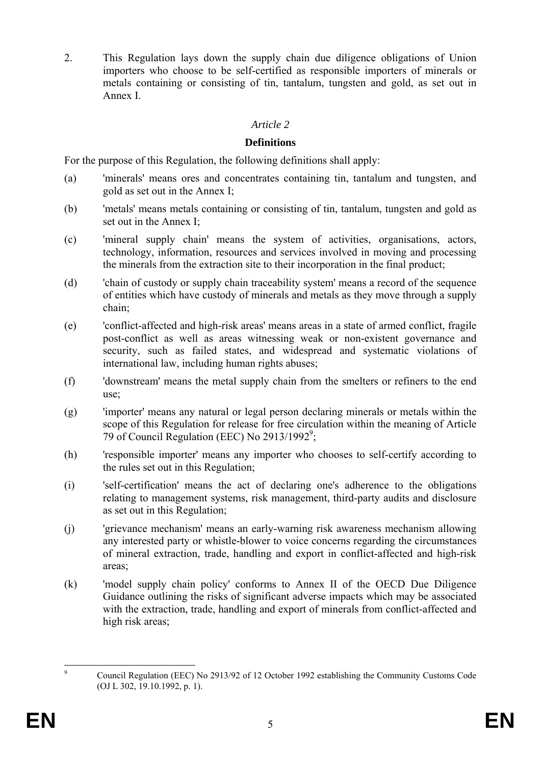2. This Regulation lays down the supply chain due diligence obligations of Union importers who choose to be self-certified as responsible importers of minerals or metals containing or consisting of tin, tantalum, tungsten and gold, as set out in Annex I.

#### *Article 2*

#### **Definitions**

For the purpose of this Regulation, the following definitions shall apply:

- (a) 'minerals' means ores and concentrates containing tin, tantalum and tungsten, and gold as set out in the Annex I;
- (b) 'metals' means metals containing or consisting of tin, tantalum, tungsten and gold as set out in the Annex I;
- (c) 'mineral supply chain' means the system of activities, organisations, actors, technology, information, resources and services involved in moving and processing the minerals from the extraction site to their incorporation in the final product;
- (d) 'chain of custody or supply chain traceability system' means a record of the sequence of entities which have custody of minerals and metals as they move through a supply chain;
- (e) 'conflict-affected and high-risk areas' means areas in a state of armed conflict, fragile post-conflict as well as areas witnessing weak or non-existent governance and security, such as failed states, and widespread and systematic violations of international law, including human rights abuses;
- (f) 'downstream' means the metal supply chain from the smelters or refiners to the end use;
- (g) 'importer' means any natural or legal person declaring minerals or metals within the scope of this Regulation for release for free circulation within the meaning of Article 79 of Council Regulation (EEC) No 2913/1992<sup>9</sup>;
- (h) 'responsible importer' means any importer who chooses to self-certify according to the rules set out in this Regulation;
- (i) 'self-certification' means the act of declaring one's adherence to the obligations relating to management systems, risk management, third-party audits and disclosure as set out in this Regulation;
- (j) 'grievance mechanism' means an early-warning risk awareness mechanism allowing any interested party or whistle-blower to voice concerns regarding the circumstances of mineral extraction, trade, handling and export in conflict-affected and high-risk areas;
- (k) 'model supply chain policy' conforms to Annex II of the OECD Due Diligence Guidance outlining the risks of significant adverse impacts which may be associated with the extraction, trade, handling and export of minerals from conflict-affected and high risk areas;

<sup>–&</sup>lt;br>9 Council Regulation (EEC) No 2913/92 of 12 October 1992 establishing the Community Customs Code (OJ L 302, 19.10.1992, p. 1).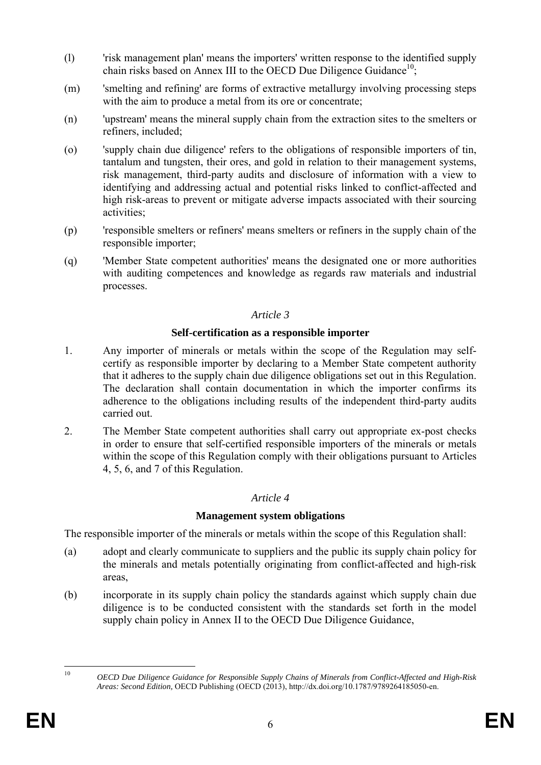- (l) 'risk management plan' means the importers' written response to the identified supply chain risks based on Annex III to the OECD Due Diligence Guidance<sup>10</sup>;
- (m) 'smelting and refining' are forms of extractive metallurgy involving processing steps with the aim to produce a metal from its ore or concentrate;
- (n) 'upstream' means the mineral supply chain from the extraction sites to the smelters or refiners, included;
- (o) 'supply chain due diligence' refers to the obligations of responsible importers of tin, tantalum and tungsten, their ores, and gold in relation to their management systems, risk management, third-party audits and disclosure of information with a view to identifying and addressing actual and potential risks linked to conflict-affected and high risk-areas to prevent or mitigate adverse impacts associated with their sourcing activities;
- (p) 'responsible smelters or refiners' means smelters or refiners in the supply chain of the responsible importer;
- (q) 'Member State competent authorities' means the designated one or more authorities with auditing competences and knowledge as regards raw materials and industrial processes.

#### **Self-certification as a responsible importer**

- 1. Any importer of minerals or metals within the scope of the Regulation may selfcertify as responsible importer by declaring to a Member State competent authority that it adheres to the supply chain due diligence obligations set out in this Regulation. The declaration shall contain documentation in which the importer confirms its adherence to the obligations including results of the independent third-party audits carried out.
- 2. The Member State competent authorities shall carry out appropriate ex-post checks in order to ensure that self-certified responsible importers of the minerals or metals within the scope of this Regulation comply with their obligations pursuant to Articles 4, 5, 6, and 7 of this Regulation.

#### *Article 4*

### **Management system obligations**

The responsible importer of the minerals or metals within the scope of this Regulation shall:

- (a) adopt and clearly communicate to suppliers and the public its supply chain policy for the minerals and metals potentially originating from conflict-affected and high-risk areas,
- (b) incorporate in its supply chain policy the standards against which supply chain due diligence is to be conducted consistent with the standards set forth in the model supply chain policy in Annex II to the OECD Due Diligence Guidance,

 $10$ 

<sup>10</sup> *OECD Due Diligence Guidance for Responsible Supply Chains of Minerals from Conflict-Affected and High-Risk Areas: Second Edition,* OECD Publishing (OECD (2013), http://dx.doi.org/10.1787/9789264185050-en.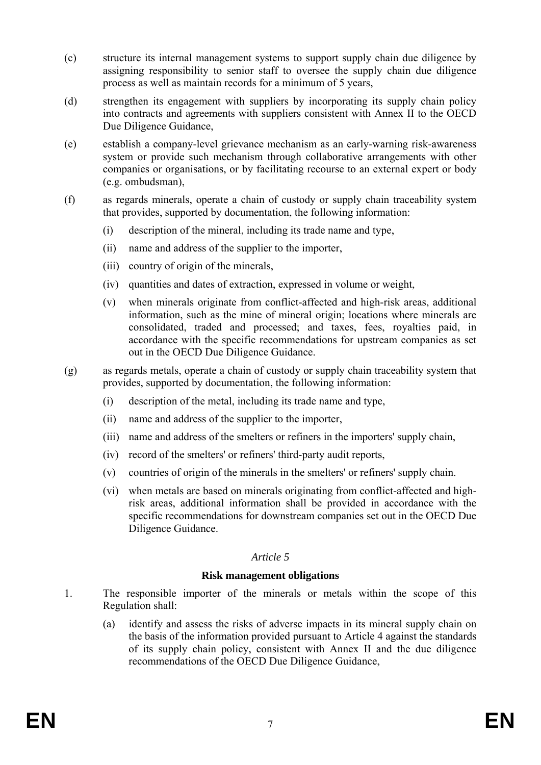- (c) structure its internal management systems to support supply chain due diligence by assigning responsibility to senior staff to oversee the supply chain due diligence process as well as maintain records for a minimum of 5 years,
- (d) strengthen its engagement with suppliers by incorporating its supply chain policy into contracts and agreements with suppliers consistent with Annex II to the OECD Due Diligence Guidance,
- (e) establish a company-level grievance mechanism as an early-warning risk-awareness system or provide such mechanism through collaborative arrangements with other companies or organisations, or by facilitating recourse to an external expert or body (e.g. ombudsman),
- (f) as regards minerals, operate a chain of custody or supply chain traceability system that provides, supported by documentation, the following information:
	- (i) description of the mineral, including its trade name and type,
	- (ii) name and address of the supplier to the importer,
	- (iii) country of origin of the minerals,
	- (iv) quantities and dates of extraction, expressed in volume or weight,
	- (v) when minerals originate from conflict-affected and high-risk areas, additional information, such as the mine of mineral origin; locations where minerals are consolidated, traded and processed; and taxes, fees, royalties paid, in accordance with the specific recommendations for upstream companies as set out in the OECD Due Diligence Guidance.
- (g) as regards metals, operate a chain of custody or supply chain traceability system that provides, supported by documentation, the following information:
	- (i) description of the metal, including its trade name and type,
	- (ii) name and address of the supplier to the importer,
	- (iii) name and address of the smelters or refiners in the importers' supply chain,
	- (iv) record of the smelters' or refiners' third-party audit reports,
	- (v) countries of origin of the minerals in the smelters' or refiners' supply chain.
	- (vi) when metals are based on minerals originating from conflict-affected and highrisk areas, additional information shall be provided in accordance with the specific recommendations for downstream companies set out in the OECD Due Diligence Guidance.

#### **Risk management obligations**

- 1. The responsible importer of the minerals or metals within the scope of this Regulation shall:
	- (a) identify and assess the risks of adverse impacts in its mineral supply chain on the basis of the information provided pursuant to Article 4 against the standards of its supply chain policy, consistent with Annex II and the due diligence recommendations of the OECD Due Diligence Guidance,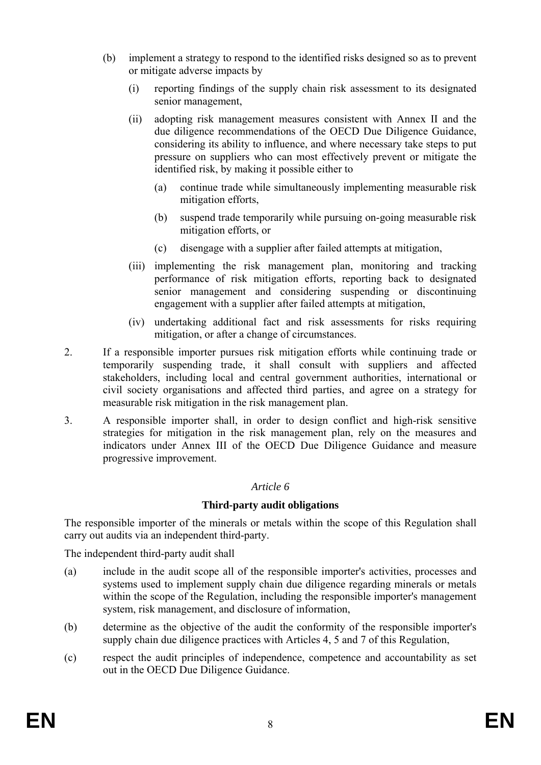- (b) implement a strategy to respond to the identified risks designed so as to prevent or mitigate adverse impacts by
	- (i) reporting findings of the supply chain risk assessment to its designated senior management,
	- (ii) adopting risk management measures consistent with Annex II and the due diligence recommendations of the OECD Due Diligence Guidance, considering its ability to influence, and where necessary take steps to put pressure on suppliers who can most effectively prevent or mitigate the identified risk, by making it possible either to
		- (a) continue trade while simultaneously implementing measurable risk mitigation efforts,
		- (b) suspend trade temporarily while pursuing on-going measurable risk mitigation efforts, or
		- (c) disengage with a supplier after failed attempts at mitigation,
	- (iii) implementing the risk management plan, monitoring and tracking performance of risk mitigation efforts, reporting back to designated senior management and considering suspending or discontinuing engagement with a supplier after failed attempts at mitigation,
	- (iv) undertaking additional fact and risk assessments for risks requiring mitigation, or after a change of circumstances.
- 2. If a responsible importer pursues risk mitigation efforts while continuing trade or temporarily suspending trade, it shall consult with suppliers and affected stakeholders, including local and central government authorities, international or civil society organisations and affected third parties, and agree on a strategy for measurable risk mitigation in the risk management plan.
- 3. A responsible importer shall, in order to design conflict and high-risk sensitive strategies for mitigation in the risk management plan, rely on the measures and indicators under Annex III of the OECD Due Diligence Guidance and measure progressive improvement.

### **Third-party audit obligations**

The responsible importer of the minerals or metals within the scope of this Regulation shall carry out audits via an independent third-party.

The independent third-party audit shall

- (a) include in the audit scope all of the responsible importer's activities, processes and systems used to implement supply chain due diligence regarding minerals or metals within the scope of the Regulation, including the responsible importer's management system, risk management, and disclosure of information,
- (b) determine as the objective of the audit the conformity of the responsible importer's supply chain due diligence practices with Articles 4, 5 and 7 of this Regulation,
- (c) respect the audit principles of independence, competence and accountability as set out in the OECD Due Diligence Guidance.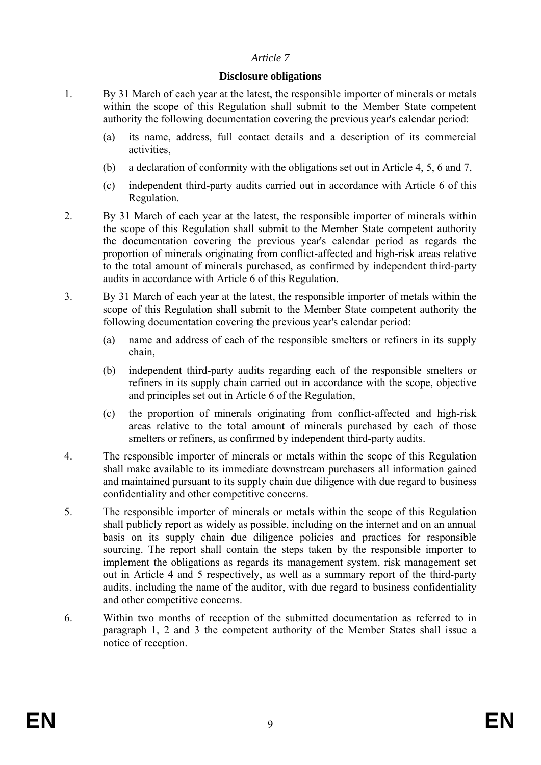#### **Disclosure obligations**

- 1. By 31 March of each year at the latest, the responsible importer of minerals or metals within the scope of this Regulation shall submit to the Member State competent authority the following documentation covering the previous year's calendar period:
	- (a) its name, address, full contact details and a description of its commercial activities,
	- (b) a declaration of conformity with the obligations set out in Article 4, 5, 6 and 7,
	- (c) independent third-party audits carried out in accordance with Article 6 of this Regulation.
- 2. By 31 March of each year at the latest, the responsible importer of minerals within the scope of this Regulation shall submit to the Member State competent authority the documentation covering the previous year's calendar period as regards the proportion of minerals originating from conflict-affected and high-risk areas relative to the total amount of minerals purchased, as confirmed by independent third-party audits in accordance with Article 6 of this Regulation.
- 3. By 31 March of each year at the latest, the responsible importer of metals within the scope of this Regulation shall submit to the Member State competent authority the following documentation covering the previous year's calendar period:
	- (a) name and address of each of the responsible smelters or refiners in its supply chain,
	- (b) independent third-party audits regarding each of the responsible smelters or refiners in its supply chain carried out in accordance with the scope, objective and principles set out in Article 6 of the Regulation,
	- (c) the proportion of minerals originating from conflict-affected and high-risk areas relative to the total amount of minerals purchased by each of those smelters or refiners, as confirmed by independent third-party audits.
- 4. The responsible importer of minerals or metals within the scope of this Regulation shall make available to its immediate downstream purchasers all information gained and maintained pursuant to its supply chain due diligence with due regard to business confidentiality and other competitive concerns.
- 5. The responsible importer of minerals or metals within the scope of this Regulation shall publicly report as widely as possible, including on the internet and on an annual basis on its supply chain due diligence policies and practices for responsible sourcing. The report shall contain the steps taken by the responsible importer to implement the obligations as regards its management system, risk management set out in Article 4 and 5 respectively, as well as a summary report of the third-party audits, including the name of the auditor, with due regard to business confidentiality and other competitive concerns.
- 6. Within two months of reception of the submitted documentation as referred to in paragraph 1, 2 and 3 the competent authority of the Member States shall issue a notice of reception.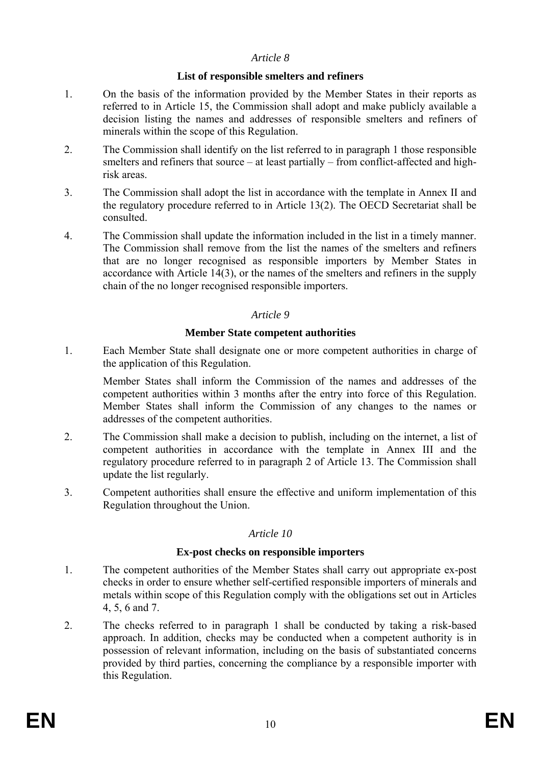#### **List of responsible smelters and refiners**

- 1. On the basis of the information provided by the Member States in their reports as referred to in Article 15, the Commission shall adopt and make publicly available a decision listing the names and addresses of responsible smelters and refiners of minerals within the scope of this Regulation.
- 2. The Commission shall identify on the list referred to in paragraph 1 those responsible smelters and refiners that source – at least partially – from conflict-affected and highrisk areas.
- 3. The Commission shall adopt the list in accordance with the template in Annex II and the regulatory procedure referred to in Article 13(2). The OECD Secretariat shall be consulted.
- 4. The Commission shall update the information included in the list in a timely manner. The Commission shall remove from the list the names of the smelters and refiners that are no longer recognised as responsible importers by Member States in accordance with Article 14(3), or the names of the smelters and refiners in the supply chain of the no longer recognised responsible importers.

#### *Article 9*

#### **Member State competent authorities**

1. Each Member State shall designate one or more competent authorities in charge of the application of this Regulation.

Member States shall inform the Commission of the names and addresses of the competent authorities within 3 months after the entry into force of this Regulation. Member States shall inform the Commission of any changes to the names or addresses of the competent authorities.

- 2. The Commission shall make a decision to publish, including on the internet, a list of competent authorities in accordance with the template in Annex III and the regulatory procedure referred to in paragraph 2 of Article 13. The Commission shall update the list regularly.
- 3. Competent authorities shall ensure the effective and uniform implementation of this Regulation throughout the Union.

#### *Article 10*

#### **Ex-post checks on responsible importers**

- 1. The competent authorities of the Member States shall carry out appropriate ex-post checks in order to ensure whether self-certified responsible importers of minerals and metals within scope of this Regulation comply with the obligations set out in Articles 4, 5, 6 and 7.
- 2. The checks referred to in paragraph 1 shall be conducted by taking a risk-based approach. In addition, checks may be conducted when a competent authority is in possession of relevant information, including on the basis of substantiated concerns provided by third parties, concerning the compliance by a responsible importer with this Regulation.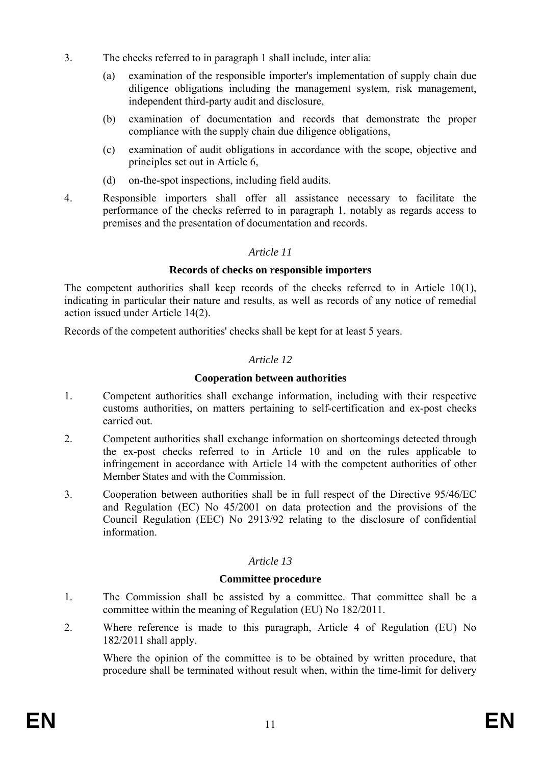- 3. The checks referred to in paragraph 1 shall include, inter alia:
	- (a) examination of the responsible importer's implementation of supply chain due diligence obligations including the management system, risk management, independent third-party audit and disclosure,
	- (b) examination of documentation and records that demonstrate the proper compliance with the supply chain due diligence obligations,
	- (c) examination of audit obligations in accordance with the scope, objective and principles set out in Article 6,
	- (d) on-the-spot inspections, including field audits.
- 4. Responsible importers shall offer all assistance necessary to facilitate the performance of the checks referred to in paragraph 1, notably as regards access to premises and the presentation of documentation and records.

#### **Records of checks on responsible importers**

The competent authorities shall keep records of the checks referred to in Article 10(1), indicating in particular their nature and results, as well as records of any notice of remedial action issued under Article 14(2).

Records of the competent authorities' checks shall be kept for at least 5 years.

### *Article 12*

### **Cooperation between authorities**

- 1. Competent authorities shall exchange information, including with their respective customs authorities, on matters pertaining to self-certification and ex-post checks carried out.
- 2. Competent authorities shall exchange information on shortcomings detected through the ex-post checks referred to in Article 10 and on the rules applicable to infringement in accordance with Article 14 with the competent authorities of other Member States and with the Commission.
- 3. Cooperation between authorities shall be in full respect of the Directive 95/46/EC and Regulation (EC) No 45/2001 on data protection and the provisions of the Council Regulation (EEC) No 2913/92 relating to the disclosure of confidential information.

### *Article 13*

### **Committee procedure**

- 1. The Commission shall be assisted by a committee. That committee shall be a committee within the meaning of Regulation (EU) No 182/2011.
- 2. Where reference is made to this paragraph, Article 4 of Regulation (EU) No 182/2011 shall apply.

Where the opinion of the committee is to be obtained by written procedure, that procedure shall be terminated without result when, within the time-limit for delivery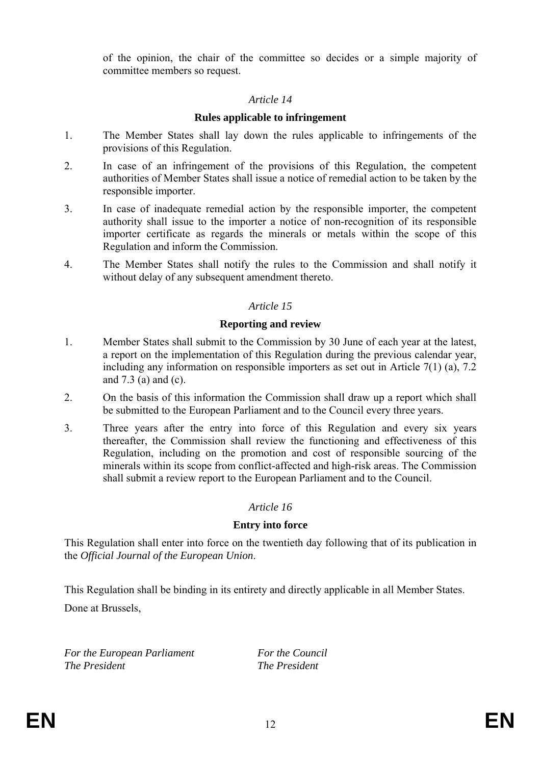of the opinion, the chair of the committee so decides or a simple majority of committee members so request.

#### *Article 14*

### **Rules applicable to infringement**

- 1. The Member States shall lay down the rules applicable to infringements of the provisions of this Regulation.
- 2. In case of an infringement of the provisions of this Regulation, the competent authorities of Member States shall issue a notice of remedial action to be taken by the responsible importer.
- 3. In case of inadequate remedial action by the responsible importer, the competent authority shall issue to the importer a notice of non-recognition of its responsible importer certificate as regards the minerals or metals within the scope of this Regulation and inform the Commission.
- 4. The Member States shall notify the rules to the Commission and shall notify it without delay of any subsequent amendment thereto.

# *Article 15*

### **Reporting and review**

- 1. Member States shall submit to the Commission by 30 June of each year at the latest, a report on the implementation of this Regulation during the previous calendar year, including any information on responsible importers as set out in Article 7(1) (a), 7.2 and 7.3 (a) and (c).
- 2. On the basis of this information the Commission shall draw up a report which shall be submitted to the European Parliament and to the Council every three years.
- 3. Three years after the entry into force of this Regulation and every six years thereafter, the Commission shall review the functioning and effectiveness of this Regulation, including on the promotion and cost of responsible sourcing of the minerals within its scope from conflict-affected and high-risk areas. The Commission shall submit a review report to the European Parliament and to the Council.

### *Article 16*

### **Entry into force**

This Regulation shall enter into force on the twentieth day following that of its publication in the *Official Journal of the European Union*.

This Regulation shall be binding in its entirety and directly applicable in all Member States. Done at Brussels,

*For the European Parliament For the Council The President The President*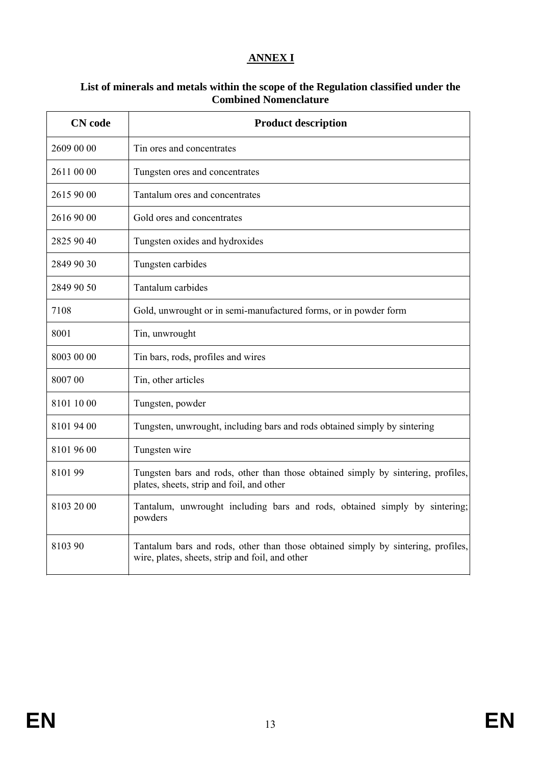# **ANNEX I**

#### **List of minerals and metals within the scope of the Regulation classified under the Combined Nomenclature**

| <b>CN</b> code | <b>Product description</b>                                                                                                          |  |
|----------------|-------------------------------------------------------------------------------------------------------------------------------------|--|
| 2609 00 00     | Tin ores and concentrates                                                                                                           |  |
| 2611 00 00     | Tungsten ores and concentrates                                                                                                      |  |
| 2615 90 00     | Tantalum ores and concentrates                                                                                                      |  |
| 2616 90 00     | Gold ores and concentrates                                                                                                          |  |
| 2825 90 40     | Tungsten oxides and hydroxides                                                                                                      |  |
| 2849 90 30     | Tungsten carbides                                                                                                                   |  |
| 2849 90 50     | Tantalum carbides                                                                                                                   |  |
| 7108           | Gold, unwrought or in semi-manufactured forms, or in powder form                                                                    |  |
| 8001           | Tin, unwrought                                                                                                                      |  |
| 8003 00 00     | Tin bars, rods, profiles and wires                                                                                                  |  |
| 8007 00        | Tin, other articles                                                                                                                 |  |
| 8101 10 00     | Tungsten, powder                                                                                                                    |  |
| 8101 94 00     | Tungsten, unwrought, including bars and rods obtained simply by sintering                                                           |  |
| 8101 96 00     | Tungsten wire                                                                                                                       |  |
| 810199         | Tungsten bars and rods, other than those obtained simply by sintering, profiles,<br>plates, sheets, strip and foil, and other       |  |
| 8103 20 00     | Tantalum, unwrought including bars and rods, obtained simply by sintering;<br>powders                                               |  |
| 8103 90        | Tantalum bars and rods, other than those obtained simply by sintering, profiles,<br>wire, plates, sheets, strip and foil, and other |  |